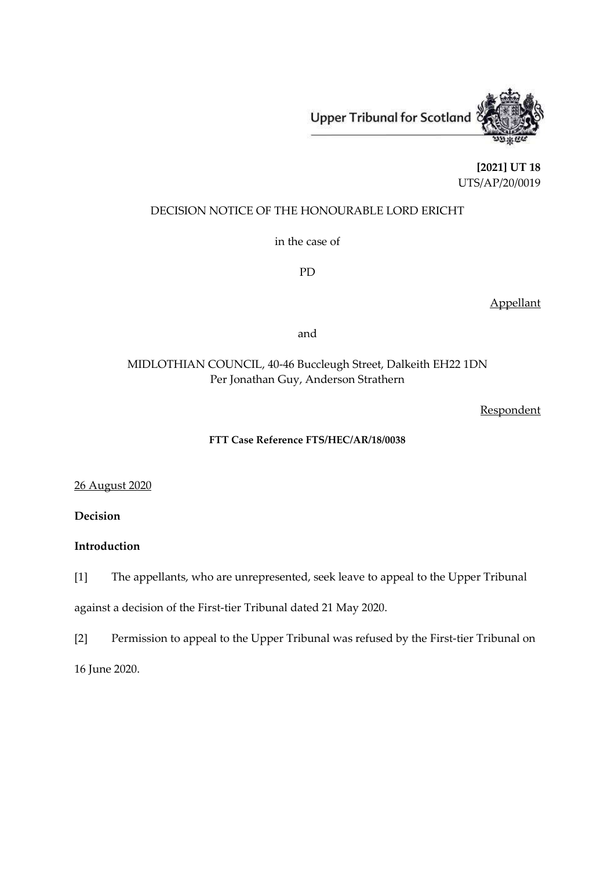

**[2021] UT 18** UTS/AP/20/0019

## DECISION NOTICE OF THE HONOURABLE LORD ERICHT

in the case of

PD

Appellant

and

# MIDLOTHIAN COUNCIL, 40-46 Buccleugh Street, Dalkeith EH22 1DN Per Jonathan Guy, Anderson Strathern

Respondent

### **FTT Case Reference FTS/HEC/AR/18/0038**

26 August 2020

**Decision**

### **Introduction**

[1] The appellants, who are unrepresented, seek leave to appeal to the Upper Tribunal against a decision of the First-tier Tribunal dated 21 May 2020.

[2] Permission to appeal to the Upper Tribunal was refused by the First-tier Tribunal on 16 June 2020.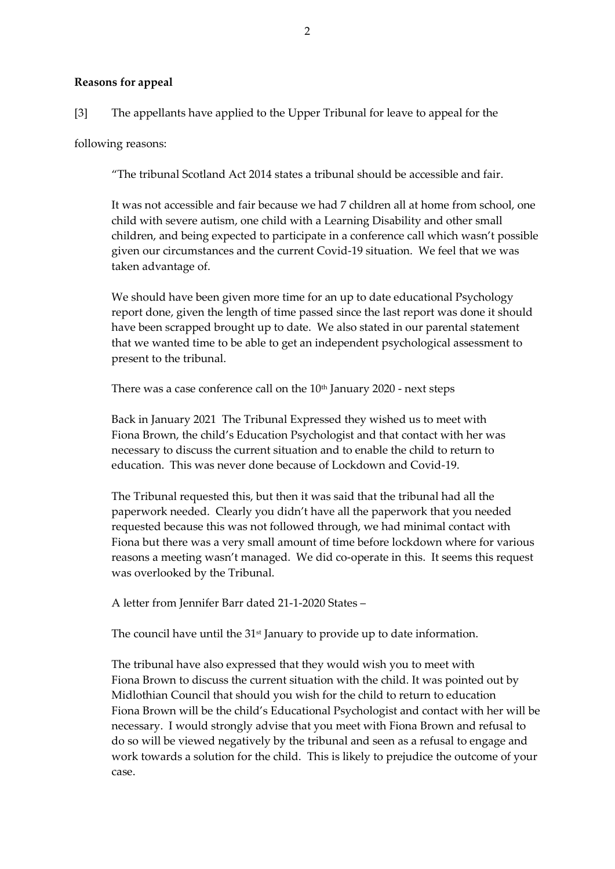#### **Reasons for appeal**

[3] The appellants have applied to the Upper Tribunal for leave to appeal for the

following reasons:

"The tribunal Scotland Act 2014 states a tribunal should be accessible and fair.

It was not accessible and fair because we had 7 children all at home from school, one child with severe autism, one child with a Learning Disability and other small children, and being expected to participate in a conference call which wasn't possible given our circumstances and the current Covid-19 situation. We feel that we was taken advantage of.

We should have been given more time for an up to date educational Psychology report done, given the length of time passed since the last report was done it should have been scrapped brought up to date. We also stated in our parental statement that we wanted time to be able to get an independent psychological assessment to present to the tribunal.

There was a case conference call on the  $10<sup>th</sup>$  January 2020 - next steps

Back in January 2021 The Tribunal Expressed they wished us to meet with Fiona Brown, the child's Education Psychologist and that contact with her was necessary to discuss the current situation and to enable the child to return to education. This was never done because of Lockdown and Covid-19.

The Tribunal requested this, but then it was said that the tribunal had all the paperwork needed. Clearly you didn't have all the paperwork that you needed requested because this was not followed through, we had minimal contact with Fiona but there was a very small amount of time before lockdown where for various reasons a meeting wasn't managed. We did co-operate in this. It seems this request was overlooked by the Tribunal.

A letter from Jennifer Barr dated 21-1-2020 States –

The council have until the 31<sup>st</sup> January to provide up to date information.

The tribunal have also expressed that they would wish you to meet with Fiona Brown to discuss the current situation with the child. It was pointed out by Midlothian Council that should you wish for the child to return to education Fiona Brown will be the child's Educational Psychologist and contact with her will be necessary. I would strongly advise that you meet with Fiona Brown and refusal to do so will be viewed negatively by the tribunal and seen as a refusal to engage and work towards a solution for the child. This is likely to prejudice the outcome of your case.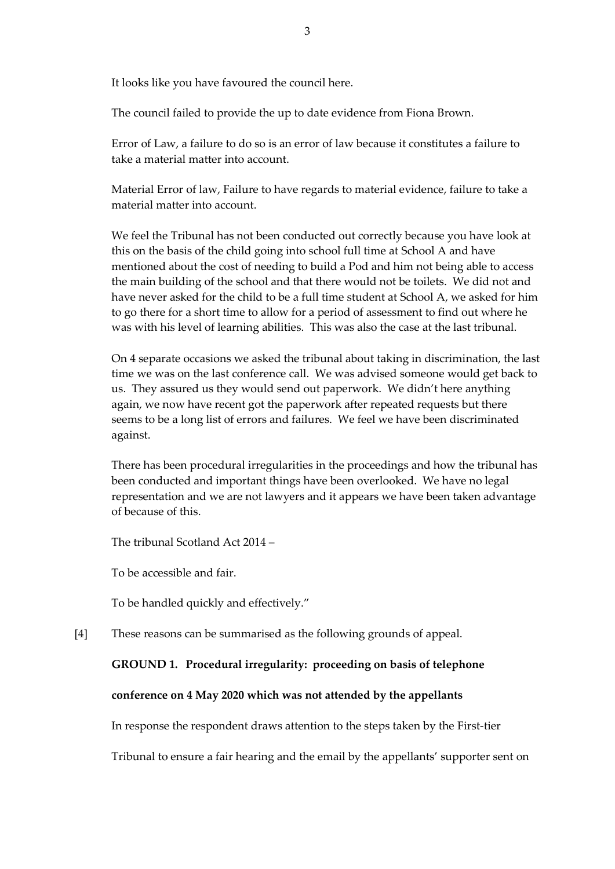It looks like you have favoured the council here.

The council failed to provide the up to date evidence from Fiona Brown.

Error of Law, a failure to do so is an error of law because it constitutes a failure to take a material matter into account.

Material Error of law, Failure to have regards to material evidence, failure to take a material matter into account.

We feel the Tribunal has not been conducted out correctly because you have look at this on the basis of the child going into school full time at School A and have mentioned about the cost of needing to build a Pod and him not being able to access the main building of the school and that there would not be toilets. We did not and have never asked for the child to be a full time student at School A, we asked for him to go there for a short time to allow for a period of assessment to find out where he was with his level of learning abilities. This was also the case at the last tribunal.

On 4 separate occasions we asked the tribunal about taking in discrimination, the last time we was on the last conference call. We was advised someone would get back to us. They assured us they would send out paperwork. We didn't here anything again, we now have recent got the paperwork after repeated requests but there seems to be a long list of errors and failures. We feel we have been discriminated against.

There has been procedural irregularities in the proceedings and how the tribunal has been conducted and important things have been overlooked. We have no legal representation and we are not lawyers and it appears we have been taken advantage of because of this.

The tribunal Scotland Act 2014 –

To be accessible and fair.

To be handled quickly and effectively."

[4] These reasons can be summarised as the following grounds of appeal.

## **GROUND 1. Procedural irregularity: proceeding on basis of telephone**

### **conference on 4 May 2020 which was not attended by the appellants**

In response the respondent draws attention to the steps taken by the First-tier

Tribunal to ensure a fair hearing and the email by the appellants' supporter sent on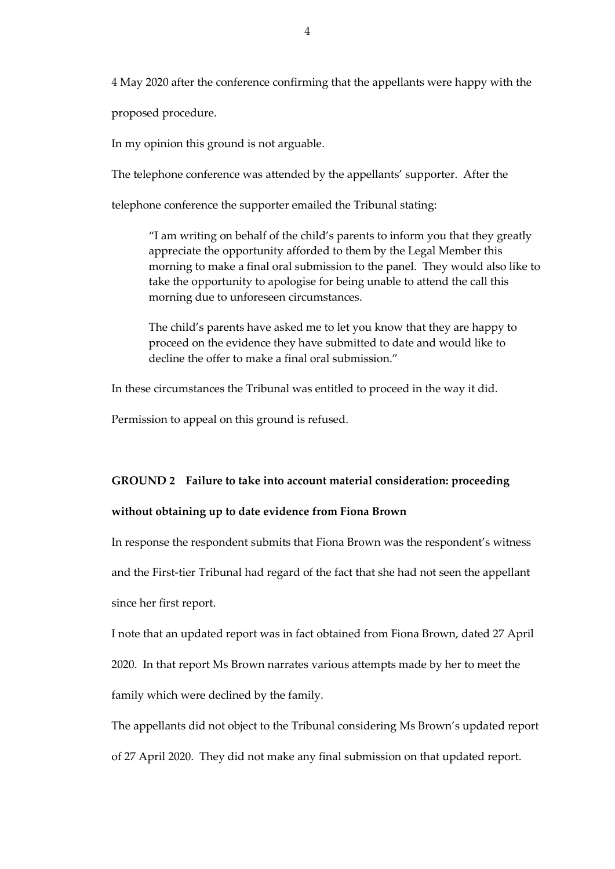4 May 2020 after the conference confirming that the appellants were happy with the

proposed procedure.

In my opinion this ground is not arguable.

The telephone conference was attended by the appellants' supporter. After the

telephone conference the supporter emailed the Tribunal stating:

"I am writing on behalf of the child's parents to inform you that they greatly appreciate the opportunity afforded to them by the Legal Member this morning to make a final oral submission to the panel. They would also like to take the opportunity to apologise for being unable to attend the call this morning due to unforeseen circumstances.

The child's parents have asked me to let you know that they are happy to proceed on the evidence they have submitted to date and would like to decline the offer to make a final oral submission."

In these circumstances the Tribunal was entitled to proceed in the way it did.

Permission to appeal on this ground is refused.

#### **GROUND 2 Failure to take into account material consideration: proceeding**

#### **without obtaining up to date evidence from Fiona Brown**

In response the respondent submits that Fiona Brown was the respondent's witness and the First-tier Tribunal had regard of the fact that she had not seen the appellant since her first report.

I note that an updated report was in fact obtained from Fiona Brown, dated 27 April

2020. In that report Ms Brown narrates various attempts made by her to meet the

family which were declined by the family.

The appellants did not object to the Tribunal considering Ms Brown's updated report of 27 April 2020. They did not make any final submission on that updated report.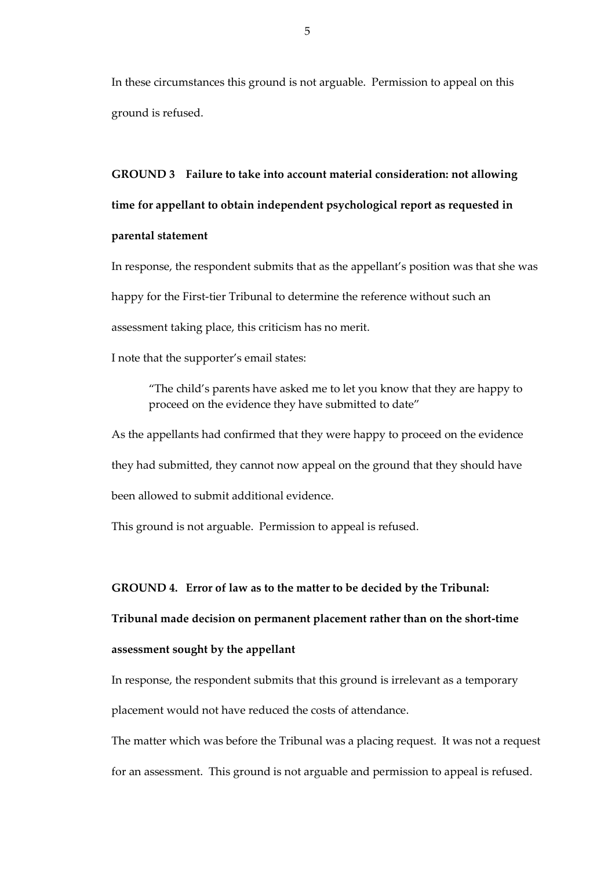In these circumstances this ground is not arguable. Permission to appeal on this ground is refused.

**GROUND 3 Failure to take into account material consideration: not allowing time for appellant to obtain independent psychological report as requested in parental statement**

In response, the respondent submits that as the appellant's position was that she was happy for the First-tier Tribunal to determine the reference without such an assessment taking place, this criticism has no merit.

I note that the supporter's email states:

"The child's parents have asked me to let you know that they are happy to proceed on the evidence they have submitted to date"

As the appellants had confirmed that they were happy to proceed on the evidence they had submitted, they cannot now appeal on the ground that they should have been allowed to submit additional evidence.

This ground is not arguable. Permission to appeal is refused.

**GROUND 4. Error of law as to the matter to be decided by the Tribunal:** 

# **Tribunal made decision on permanent placement rather than on the short-time**

#### **assessment sought by the appellant**

In response, the respondent submits that this ground is irrelevant as a temporary placement would not have reduced the costs of attendance.

The matter which was before the Tribunal was a placing request. It was not a request for an assessment. This ground is not arguable and permission to appeal is refused.